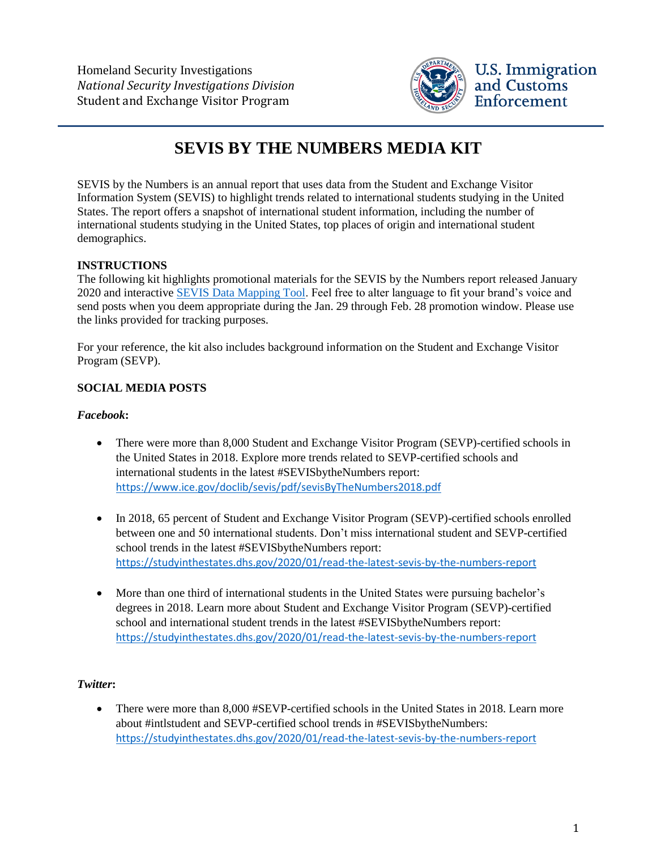

# **SEVIS BY THE NUMBERS MEDIA KIT**

SEVIS by the Numbers is an annual report that uses data from the Student and Exchange Visitor Information System (SEVIS) to highlight trends related to international students studying in the United States. The report offers a snapshot of international student information, including the number of international students studying in the United States, top places of origin and international student demographics.

# **INSTRUCTIONS**

The following kit highlights promotional materials for the SEVIS by the Numbers report released January 2020 and interactive [SEVIS Data Mapping Tool.](https://studyinthestates.dhs.gov/sevis-by-the-numbers) Feel free to alter language to fit your brand's voice and send posts when you deem appropriate during the Jan. 29 through Feb. 28 promotion window. Please use the links provided for tracking purposes.

For your reference, the kit also includes background information on the Student and Exchange Visitor Program (SEVP).

# **SOCIAL MEDIA POSTS**

## *Facebook***:**

- There were more than 8,000 Student and Exchange Visitor Program (SEVP)-certified schools in the United States in 2018. Explore more trends related to SEVP-certified schools and international students in the latest #SEVISbytheNumbers report: <https://www.ice.gov/doclib/sevis/pdf/sevisByTheNumbers2018.pdf>
- In 2018, 65 percent of Student and Exchange Visitor Program (SEVP)-certified schools enrolled between one and 50 international students. Don't miss international student and SEVP-certified school trends in the latest #SEVISbytheNumbers report: <https://studyinthestates.dhs.gov/2020/01/read-the-latest-sevis-by-the-numbers-report>
- More than one third of international students in the United States were pursuing bachelor's degrees in 2018. Learn more about Student and Exchange Visitor Program (SEVP)-certified school and international student trends in the latest #SEVISbytheNumbers report: <https://studyinthestates.dhs.gov/2020/01/read-the-latest-sevis-by-the-numbers-report>

## *Twitter***:**

• There were more than 8,000 #SEVP-certified schools in the United States in 2018. Learn more about #intlstudent and SEVP-certified school trends in #SEVISbytheNumbers: <https://studyinthestates.dhs.gov/2020/01/read-the-latest-sevis-by-the-numbers-report>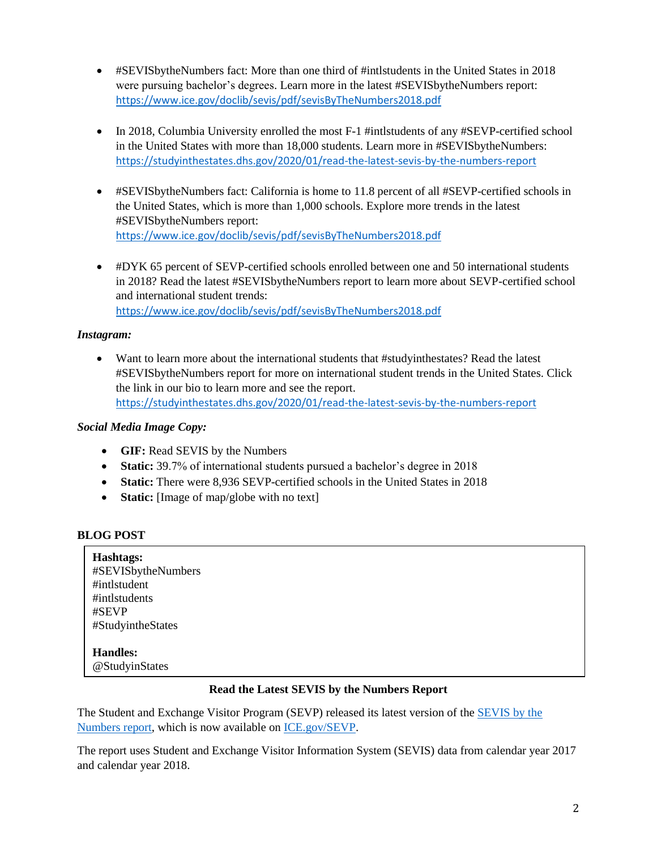- #SEVISbytheNumbers fact: More than one third of #intlstudents in the United States in 2018 were pursuing bachelor's degrees. Learn more in the latest #SEVISbytheNumbers report: <https://www.ice.gov/doclib/sevis/pdf/sevisByTheNumbers2018.pdf>
- In 2018, Columbia University enrolled the most F-1 #intlstudents of any #SEVP-certified school in the United States with more than 18,000 students. Learn more in #SEVISbytheNumbers: <https://studyinthestates.dhs.gov/2020/01/read-the-latest-sevis-by-the-numbers-report>
- #SEVISbytheNumbers fact: California is home to 11.8 percent of all #SEVP-certified schools in the United States, which is more than 1,000 schools. Explore more trends in the latest #SEVISbytheNumbers report: <https://www.ice.gov/doclib/sevis/pdf/sevisByTheNumbers2018.pdf>
- #DYK 65 percent of SEVP-certified schools enrolled between one and 50 international students in 2018? Read the latest #SEVISbytheNumbers report to learn more about SEVP-certified school and international student trends:

<https://www.ice.gov/doclib/sevis/pdf/sevisByTheNumbers2018.pdf>

#### *Instagram:*

• Want to learn more about the international students that #studyinthestates? Read the latest #SEVISbytheNumbers report for more on international student trends in the United States. Click the link in our bio to learn more and see the report. <https://studyinthestates.dhs.gov/2020/01/read-the-latest-sevis-by-the-numbers-report>

#### *Social Media Image Copy:*

- **GIF:** Read SEVIS by the Numbers
- **Static:** 39.7% of international students pursued a bachelor's degree in 2018
- **Static:** There were 8,936 SEVP-certified schools in the United States in 2018
- **Static:** [Image of map/globe with no text]

## **BLOG POST**

| Hashtags:<br>#SEVISbytheNumbers<br>#intlstudent<br>#intlstudents<br>#SEVP<br>#StudyintheStates |  |  |
|------------------------------------------------------------------------------------------------|--|--|
| <b>Handles:</b><br>@StudyinStates                                                              |  |  |

#### **Read the Latest SEVIS by the Numbers Report**

The Student and Exchange Visitor Program (SEVP) released its latest version of the [SEVIS by the](https://www.ice.gov/doclib/sevis/pdf/sevisByTheNumbers2018.pdf)  [Numbers report,](https://www.ice.gov/doclib/sevis/pdf/sevisByTheNumbers2018.pdf) which is now available on [ICE.gov/SEVP.](https://www.ice.gov/sevp)

The report uses Student and Exchange Visitor Information System (SEVIS) data from calendar year 2017 and calendar year 2018.